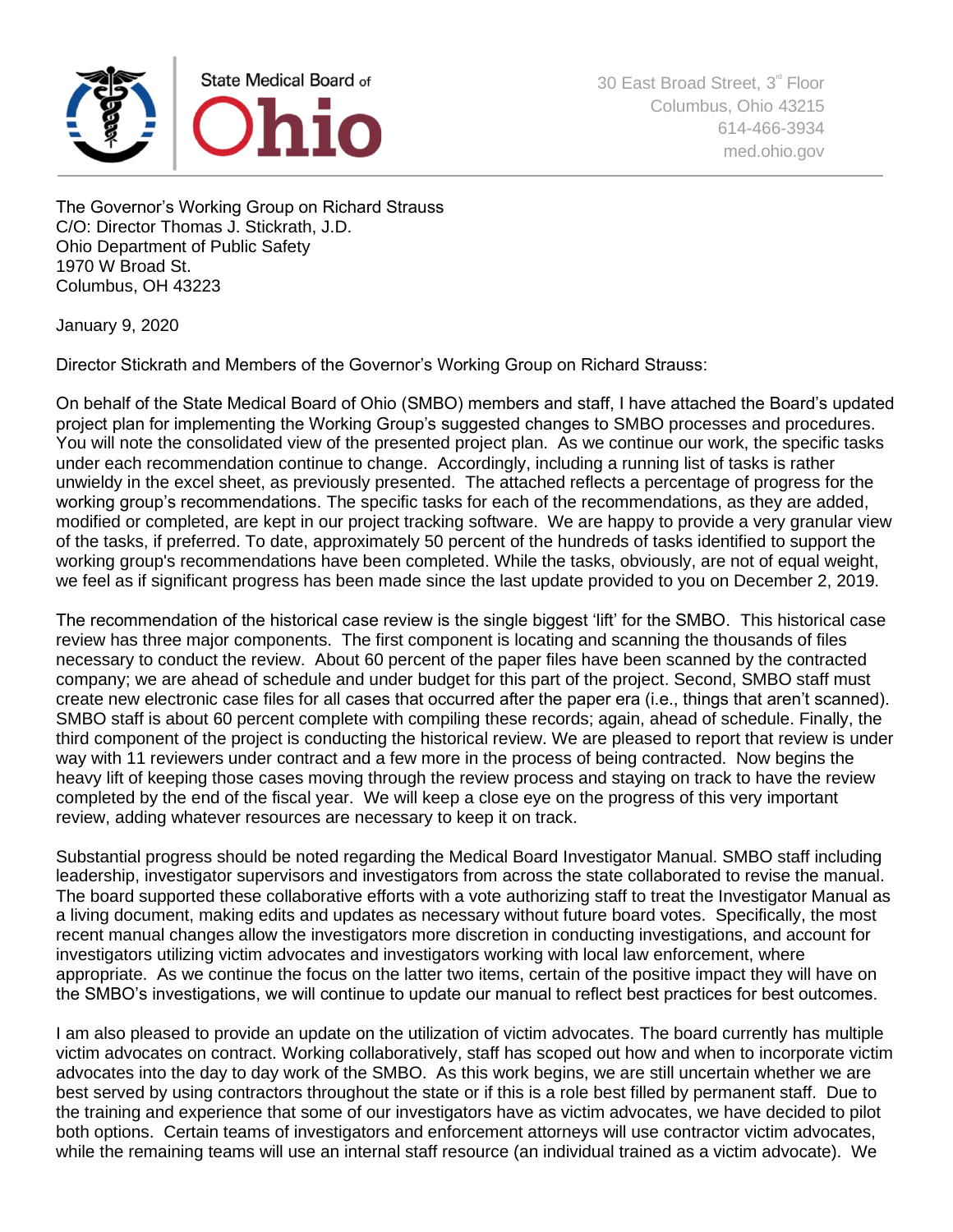

The Governor's Working Group on Richard Strauss C/O: Director Thomas J. Stickrath, J.D. Ohio Department of Public Safety 1970 W Broad St. Columbus, OH 43223

January 9, 2020

Director Stickrath and Members of the Governor's Working Group on Richard Strauss:

On behalf of the State Medical Board of Ohio (SMBO) members and staff, I have attached the Board's updated project plan for implementing the Working Group's suggested changes to SMBO processes and procedures. You will note the consolidated view of the presented project plan. As we continue our work, the specific tasks under each recommendation continue to change. Accordingly, including a running list of tasks is rather unwieldy in the excel sheet, as previously presented. The attached reflects a percentage of progress for the working group's recommendations. The specific tasks for each of the recommendations, as they are added, modified or completed, are kept in our project tracking software. We are happy to provide a very granular view of the tasks, if preferred. To date, approximately 50 percent of the hundreds of tasks identified to support the working group's recommendations have been completed. While the tasks, obviously, are not of equal weight, we feel as if significant progress has been made since the last update provided to you on December 2, 2019.

The recommendation of the historical case review is the single biggest 'lift' for the SMBO. This historical case review has three major components. The first component is locating and scanning the thousands of files necessary to conduct the review. About 60 percent of the paper files have been scanned by the contracted company; we are ahead of schedule and under budget for this part of the project. Second, SMBO staff must create new electronic case files for all cases that occurred after the paper era (i.e., things that aren't scanned). SMBO staff is about 60 percent complete with compiling these records; again, ahead of schedule. Finally, the third component of the project is conducting the historical review. We are pleased to report that review is under way with 11 reviewers under contract and a few more in the process of being contracted. Now begins the heavy lift of keeping those cases moving through the review process and staying on track to have the review completed by the end of the fiscal year. We will keep a close eye on the progress of this very important review, adding whatever resources are necessary to keep it on track.

Substantial progress should be noted regarding the Medical Board Investigator Manual. SMBO staff including leadership, investigator supervisors and investigators from across the state collaborated to revise the manual. The board supported these collaborative efforts with a vote authorizing staff to treat the Investigator Manual as a living document, making edits and updates as necessary without future board votes. Specifically, the most recent manual changes allow the investigators more discretion in conducting investigations, and account for investigators utilizing victim advocates and investigators working with local law enforcement, where appropriate. As we continue the focus on the latter two items, certain of the positive impact they will have on the SMBO's investigations, we will continue to update our manual to reflect best practices for best outcomes.

I am also pleased to provide an update on the utilization of victim advocates. The board currently has multiple victim advocates on contract. Working collaboratively, staff has scoped out how and when to incorporate victim advocates into the day to day work of the SMBO. As this work begins, we are still uncertain whether we are best served by using contractors throughout the state or if this is a role best filled by permanent staff. Due to the training and experience that some of our investigators have as victim advocates, we have decided to pilot both options. Certain teams of investigators and enforcement attorneys will use contractor victim advocates, while the remaining teams will use an internal staff resource (an individual trained as a victim advocate). We